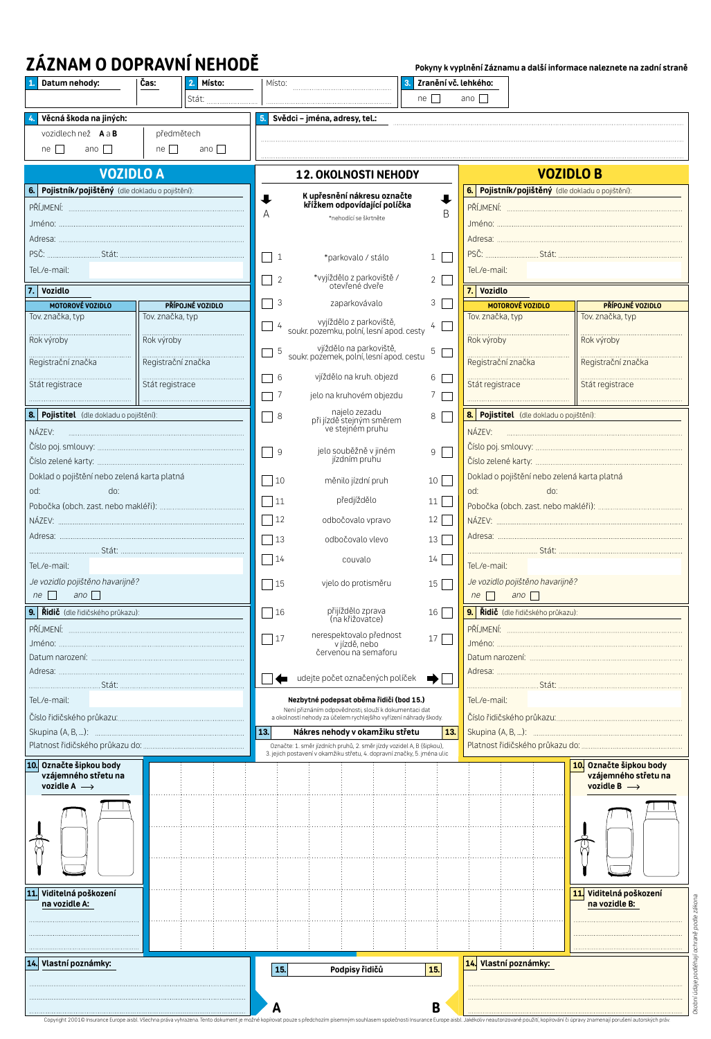# **ZÁZNAM O DOPRAVNÍ NEHODĚ**

| Datum nehody:                                                                  | Čas:             | Místo:<br>2.       | Místo:                                                                                                                    |                                                                                                                                                   | Zranění vč. lehkého:<br>3. |                                                       |                                                 |                                                                           |  |
|--------------------------------------------------------------------------------|------------------|--------------------|---------------------------------------------------------------------------------------------------------------------------|---------------------------------------------------------------------------------------------------------------------------------------------------|----------------------------|-------------------------------------------------------|-------------------------------------------------|---------------------------------------------------------------------------|--|
|                                                                                |                  | Stát:              |                                                                                                                           |                                                                                                                                                   | $ne \Box$                  | ano $\Box$                                            |                                                 |                                                                           |  |
| Věcná škoda na jiných:                                                         |                  |                    | 5.                                                                                                                        | Svědci - jména, adresy, tel.:                                                                                                                     |                            |                                                       |                                                 |                                                                           |  |
| vozidlech než A a B                                                            | předmětech       |                    |                                                                                                                           |                                                                                                                                                   |                            |                                                       |                                                 |                                                                           |  |
| $ne \Box$<br>ano $\Box$                                                        | $ne \Box$        | ano $\Box$         |                                                                                                                           |                                                                                                                                                   |                            |                                                       |                                                 |                                                                           |  |
|                                                                                |                  |                    |                                                                                                                           |                                                                                                                                                   |                            |                                                       |                                                 |                                                                           |  |
| <b>VOZIDLO A</b>                                                               |                  |                    |                                                                                                                           | 12. OKOLNOSTI NEHODY                                                                                                                              |                            |                                                       | <b>VOZIDLO B</b>                                |                                                                           |  |
| 6. Pojistník/pojištěný (dle dokladu o pojištění):                              |                  |                    | K upřesnění nákresu označte<br>křížkem odpovídající políčka<br>┸                                                          |                                                                                                                                                   |                            | Pojistník/pojištěný (dle dokladu o pojištění):<br>6.1 |                                                 |                                                                           |  |
|                                                                                |                  |                    | A                                                                                                                         |                                                                                                                                                   | B                          |                                                       |                                                 |                                                                           |  |
|                                                                                |                  |                    |                                                                                                                           | *nehodící se škrtněte                                                                                                                             |                            |                                                       |                                                 |                                                                           |  |
|                                                                                |                  |                    |                                                                                                                           |                                                                                                                                                   |                            |                                                       |                                                 |                                                                           |  |
|                                                                                |                  |                    | $\vert$ 1                                                                                                                 | *parkovalo / stálo                                                                                                                                | $1 \mid$                   |                                                       |                                                 |                                                                           |  |
| Tel./e-mail:                                                                   |                  |                    | $\blacksquare$<br>$\overline{2}$                                                                                          | Tel./e-mail:<br>$2 \mid$                                                                                                                          |                            |                                                       |                                                 |                                                                           |  |
| 7. Vozidlo                                                                     |                  |                    |                                                                                                                           | *vyjíždělo z parkoviště /<br>otevřené dveře                                                                                                       |                            | Vozidlo<br>7.1                                        |                                                 |                                                                           |  |
| MOTOROVÉ VOZIDLO                                                               |                  | PŘÍPOJNÉ VOZIDLO   | 3                                                                                                                         | zaparkovávalo                                                                                                                                     | 3 <sup>1</sup>             |                                                       | <b>MOTOROVÉ VOZIDLO</b>                         | PŘÍPOJNÉ VOZIDLO                                                          |  |
| Tov. značka, typ                                                               | Tov. značka, typ |                    | 4                                                                                                                         | vyjíždělo z parkoviště,                                                                                                                           | 4                          | Tov. značka, typ                                      |                                                 | Tov. značka, typ                                                          |  |
|                                                                                |                  |                    |                                                                                                                           | soukr. pozemku, polní, lesní apod. cesty                                                                                                          |                            |                                                       |                                                 |                                                                           |  |
| Registrační značka                                                             |                  | Registrační značka | -5<br>$\blacksquare$                                                                                                      | vjíždělo na parkoviště,<br>soukr. pozemek, polní, lesní apod. cestu                                                                               | 5 <b>F</b>                 |                                                       | <u>Registrační značka</u><br>Registrační značka |                                                                           |  |
|                                                                                |                  |                    | $\bigcap$ 6                                                                                                               | vjíždělo na kruh. objezd                                                                                                                          | $6 \Box$                   |                                                       |                                                 |                                                                           |  |
| Stát registrace                                                                |                  |                    | $\bigcap$ 7                                                                                                               | jelo na kruhovém objezdu                                                                                                                          | 7 F                        |                                                       | summummummummummum.<br>Stát registrace          | summummummummummum<br>Stát registrace                                     |  |
| 8. Pojistitel (dle dokladu o pojištění):                                       |                  |                    |                                                                                                                           | najelo zezadu                                                                                                                                     |                            |                                                       | 8. Pojistitel (dle dokladu o pojištění):        |                                                                           |  |
| NÁZEV:                                                                         |                  |                    | $\Box$ 8                                                                                                                  | při jízdě stejným směrem<br>ve stejném pruhu                                                                                                      | 8                          | NÁZEV:                                                |                                                 |                                                                           |  |
|                                                                                |                  |                    |                                                                                                                           |                                                                                                                                                   |                            |                                                       |                                                 |                                                                           |  |
|                                                                                |                  |                    | □ 9<br>jelo souběžně v jiném<br>jízdním pruhu                                                                             |                                                                                                                                                   | 9 <sup>1</sup>             |                                                       |                                                 |                                                                           |  |
| Doklad o pojištění nebo zelená karta platná                                    |                  |                    | $\sqrt{10}$                                                                                                               | měnilo jízdní pruh                                                                                                                                | 10                         |                                                       | Doklad o pojištění nebo zelená karta platná     |                                                                           |  |
| od:<br>do:                                                                     |                  |                    | $\Box$ 11                                                                                                                 | předjíždělo                                                                                                                                       |                            | od:                                                   | do:                                             |                                                                           |  |
|                                                                                |                  |                    |                                                                                                                           |                                                                                                                                                   | 11                         |                                                       |                                                 |                                                                           |  |
|                                                                                |                  |                    | $\Box$ 12                                                                                                                 | odbočovalo vpravo                                                                                                                                 | $12$                       |                                                       |                                                 |                                                                           |  |
|                                                                                |                  |                    | $\Box$ 13                                                                                                                 | odbočovalo vlevo                                                                                                                                  | 13                         |                                                       |                                                 |                                                                           |  |
|                                                                                |                  |                    | $\sqrt{14}$                                                                                                               | couvalo                                                                                                                                           | 14                         |                                                       | Tel./e-mail:                                    |                                                                           |  |
| Tel./e-mail:                                                                   |                  |                    | Je vozidlo pojištěno havarijně?                                                                                           |                                                                                                                                                   |                            |                                                       |                                                 |                                                                           |  |
| Je vozidlo pojištěno havarijně?<br>ano $\Box$<br>$ne \Box$                     |                  |                    | $\sqrt{15}$                                                                                                               | vjelo do protisměru                                                                                                                               | 15                         | $ne \mid \mid$                                        | ano $\Box$                                      |                                                                           |  |
| 9. Řidič (dle řidičského průkazu):                                             |                  |                    | 16                                                                                                                        | přijíždělo zprava                                                                                                                                 |                            |                                                       | 9. Řidič (dle řidičského průkazu):              |                                                                           |  |
|                                                                                |                  |                    |                                                                                                                           | (na křižovatce)                                                                                                                                   | 16                         |                                                       |                                                 |                                                                           |  |
| PŘÍJMENÍ:                                                                      |                  |                    | 17                                                                                                                        | nerespektovalo přednost<br>v jízdě, nebo                                                                                                          | 17                         |                                                       |                                                 |                                                                           |  |
|                                                                                |                  |                    |                                                                                                                           | červenou na semaforu                                                                                                                              |                            |                                                       |                                                 |                                                                           |  |
|                                                                                |                  |                    |                                                                                                                           |                                                                                                                                                   |                            |                                                       |                                                 |                                                                           |  |
|                                                                                |                  |                    |                                                                                                                           | udejte počet označených políček                                                                                                                   | ➡                          |                                                       |                                                 |                                                                           |  |
| Tel./e-mail:                                                                   |                  |                    |                                                                                                                           | Nezbytné podepsat oběma řidiči (bod 15.)                                                                                                          |                            | Tel./e-mail:                                          |                                                 |                                                                           |  |
|                                                                                |                  |                    | Není přiznáním odpovědnosti, slouží k dokumentaci dat<br>a okolností nehody za účelem rychlejšího vyřízení náhrady škody. |                                                                                                                                                   |                            |                                                       |                                                 |                                                                           |  |
|                                                                                |                  |                    | 13.<br>13.<br>Nákres nehody v okamžiku střetu                                                                             |                                                                                                                                                   |                            |                                                       |                                                 |                                                                           |  |
|                                                                                |                  |                    |                                                                                                                           | Označte: 1. směr jízdních pruhů, 2. směr jízdy vozidel A, B (šipkou),<br>3. jejich postavení v okamžiku střetu, 4. dopravní značky, 5. jména ulic |                            |                                                       |                                                 |                                                                           |  |
| 10. Označte šipkou body<br>vzájemného střetu na<br>vozidle A $\longrightarrow$ |                  |                    |                                                                                                                           |                                                                                                                                                   |                            |                                                       |                                                 | 10 Označte šipkou body<br>vzájemného střetu na<br>vozidle B $\rightarrow$ |  |
|                                                                                |                  |                    |                                                                                                                           |                                                                                                                                                   |                            |                                                       |                                                 |                                                                           |  |
|                                                                                |                  |                    |                                                                                                                           |                                                                                                                                                   |                            |                                                       |                                                 |                                                                           |  |
| 11. Viditelná poškození<br>na vozidle A:                                       |                  |                    |                                                                                                                           |                                                                                                                                                   |                            |                                                       |                                                 | Viditelná poškození<br>11<br>na vozidle B:                                |  |
|                                                                                |                  |                    |                                                                                                                           |                                                                                                                                                   |                            |                                                       |                                                 |                                                                           |  |
|                                                                                |                  |                    |                                                                                                                           |                                                                                                                                                   |                            |                                                       |                                                 |                                                                           |  |
| 14. Vlastní poznámky:                                                          |                  |                    |                                                                                                                           |                                                                                                                                                   |                            | 14                                                    | Vlastní poznámky:                               |                                                                           |  |
|                                                                                |                  |                    | 15.                                                                                                                       | Podpisy řidičů                                                                                                                                    | 15.                        |                                                       |                                                 |                                                                           |  |
|                                                                                |                  |                    |                                                                                                                           |                                                                                                                                                   |                            |                                                       |                                                 |                                                                           |  |
|                                                                                |                  |                    | A                                                                                                                         |                                                                                                                                                   | B                          |                                                       |                                                 |                                                                           |  |

**Pokyny k vyplnění Záznamu a další informace naleznete na zadní straně**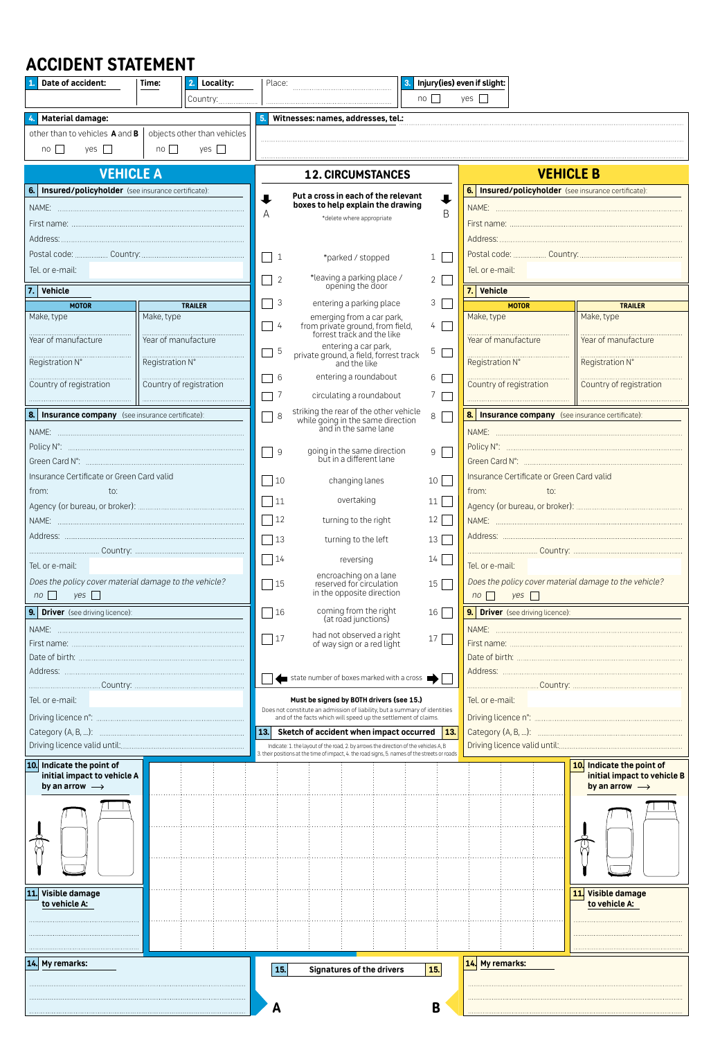# **ACCIDENT STATEMENT**

| Date of accident:                                             | Time:               | 2. Locality:            | Place:                                                                                                                                       |                                                                                                                                               |                | Injury(ies) even if slight:                          |                                           |                                                          |  |
|---------------------------------------------------------------|---------------------|-------------------------|----------------------------------------------------------------------------------------------------------------------------------------------|-----------------------------------------------------------------------------------------------------------------------------------------------|----------------|------------------------------------------------------|-------------------------------------------|----------------------------------------------------------|--|
|                                                               |                     | Country:                |                                                                                                                                              |                                                                                                                                               | $no \Box$      | $yes \Box$                                           |                                           |                                                          |  |
| Material damage:                                              |                     |                         |                                                                                                                                              | 5. Witnesses: names, addresses, tel.:                                                                                                         |                |                                                      |                                           |                                                          |  |
| other than to vehicles A and B<br>objects other than vehicles |                     |                         |                                                                                                                                              |                                                                                                                                               |                |                                                      |                                           |                                                          |  |
| $no \Box$<br>yes $\Box$<br>no<br>yes                          |                     |                         |                                                                                                                                              |                                                                                                                                               |                |                                                      |                                           |                                                          |  |
|                                                               |                     |                         |                                                                                                                                              |                                                                                                                                               |                | <b>VEHICLE B</b>                                     |                                           |                                                          |  |
| <b>VEHICLE A</b>                                              |                     |                         |                                                                                                                                              | <b>12. CIRCUMSTANCES</b>                                                                                                                      |                | 6. Insured/policyholder (see insurance certificate): |                                           |                                                          |  |
| 6. Insured/policyholder (see insurance certificate):          |                     |                         | ┸                                                                                                                                            | Put a cross in each of the relevant<br>boxes to help explain the drawing                                                                      | ┺              |                                                      |                                           |                                                          |  |
|                                                               |                     |                         | A                                                                                                                                            | *delete where appropriate                                                                                                                     | B              |                                                      |                                           |                                                          |  |
|                                                               |                     |                         |                                                                                                                                              |                                                                                                                                               |                |                                                      |                                           |                                                          |  |
|                                                               |                     |                         |                                                                                                                                              |                                                                                                                                               |                |                                                      |                                           |                                                          |  |
| Tel. or e-mail:                                               |                     |                         |                                                                                                                                              | $\vert$ 1<br>*parked / stopped<br>$\mathbf{1}$<br>Tel. or e-mail:                                                                             |                |                                                      |                                           |                                                          |  |
|                                                               |                     |                         | *leaving a parking place /<br>opening the door<br>$\overline{2}$<br>2                                                                        |                                                                                                                                               |                |                                                      |                                           |                                                          |  |
| 7. Vehicle<br><b>MOTOR</b>                                    |                     | <b>TRAILER</b>          | 3                                                                                                                                            | entering a parking place                                                                                                                      | 3              |                                                      | 7. Vehicle<br><b>MOTOR</b>                |                                                          |  |
| Make, type                                                    | Make, type          |                         |                                                                                                                                              |                                                                                                                                               |                | Make, type                                           |                                           | <b>TRAILER</b><br>Make, type                             |  |
|                                                               |                     |                         | $\Box$ 4                                                                                                                                     | emerging from a car park,<br>from private ground, from field,<br>forrest track and the like                                                   | $4-$           |                                                      |                                           | Year of manufacture                                      |  |
| Year of manufacture                                           | Year of manufacture |                         | 5<br>- 1                                                                                                                                     | entering a car park,                                                                                                                          | 5 <sub>1</sub> | Year of manufacture                                  |                                           |                                                          |  |
| Registration N°                                               | Registration N°     |                         |                                                                                                                                              | private ground, a field, forrest track<br>and the like                                                                                        |                |                                                      | <b>Registration N°</b><br>Registration N° | Registration N°                                          |  |
| Country of registration                                       |                     | Country of registration | $\Box$ 6                                                                                                                                     | entering a roundabout                                                                                                                         | 6 F            |                                                      | Country of registration                   | Country of registration                                  |  |
|                                                               |                     |                         | $\Box$ 7                                                                                                                                     | circulating a roundabout                                                                                                                      | 7 <sub>1</sub> |                                                      |                                           |                                                          |  |
| <b>8.</b> Insurance company (see insurance certificate):      |                     |                         | 8                                                                                                                                            | striking the rear of the other vehicle<br>while going in the same direction<br>and in the same lane                                           | 8              |                                                      |                                           | <b>8.</b> Insurance company (see insurance certificate): |  |
|                                                               |                     |                         |                                                                                                                                              |                                                                                                                                               |                |                                                      |                                           |                                                          |  |
|                                                               |                     |                         | $\Box$ 9<br>9 I                                                                                                                              |                                                                                                                                               |                |                                                      |                                           |                                                          |  |
|                                                               |                     |                         | going in the same direction<br>but in a different lane                                                                                       |                                                                                                                                               |                |                                                      |                                           |                                                          |  |
| Insurance Certificate or Green Card valid                     |                     |                         | $\vert$ 10                                                                                                                                   | changing lanes                                                                                                                                | 10             | Insurance Certificate or Green Card valid            |                                           |                                                          |  |
| from:<br>$\uparrow$ 0:                                        |                     |                         | $\Box$ 11                                                                                                                                    | overtaking                                                                                                                                    | 11             | from:<br>to:                                         |                                           |                                                          |  |
|                                                               |                     |                         | $\Box$ 12                                                                                                                                    | turning to the right                                                                                                                          | $12 \mid$      |                                                      |                                           |                                                          |  |
|                                                               |                     |                         | $\Box$ 13                                                                                                                                    | turning to the left                                                                                                                           | $13 \mid$      |                                                      |                                           |                                                          |  |
|                                                               |                     |                         |                                                                                                                                              |                                                                                                                                               |                |                                                      |                                           |                                                          |  |
| Tel. or e-mail:                                               |                     |                         | $\sqrt{14}$                                                                                                                                  | reversing                                                                                                                                     | 14             | Tel. or e-mail:                                      |                                           |                                                          |  |
| Does the policy cover material damage to the vehicle?         |                     |                         | $\Box$ 15                                                                                                                                    | encroaching on a lane<br>reserved for circulation                                                                                             | $15 \mid$      |                                                      |                                           | Does the policy cover material damage to the vehicle?    |  |
| $no \Box$<br>$yes$ $\Box$                                     |                     |                         |                                                                                                                                              | in the opposite direction                                                                                                                     |                | $no \Box$<br>yes                                     |                                           |                                                          |  |
| 9. Driver (see driving licence):                              |                     |                         | 16                                                                                                                                           | coming from the right<br>(at road junctions)                                                                                                  | $16 \mid$      | 9. Driver (see driving licence):                     |                                           |                                                          |  |
|                                                               |                     |                         | 17                                                                                                                                           | had not observed a right                                                                                                                      | 17             |                                                      |                                           |                                                          |  |
|                                                               |                     |                         | of way sign or a red light                                                                                                                   |                                                                                                                                               |                |                                                      |                                           |                                                          |  |
|                                                               |                     |                         |                                                                                                                                              |                                                                                                                                               |                |                                                      |                                           |                                                          |  |
|                                                               |                     |                         | state number of boxes marked with a cross                                                                                                    |                                                                                                                                               |                |                                                      |                                           |                                                          |  |
| Tel. or e-mail:                                               |                     |                         |                                                                                                                                              | Must be signed by BOTH drivers (see 15.)                                                                                                      |                | Tel. or e-mail:                                      |                                           |                                                          |  |
|                                                               |                     |                         | Does not constitute an admission of liability, but a summary of identities<br>and of the facts which will speed up the settlement of claims. |                                                                                                                                               |                |                                                      |                                           |                                                          |  |
|                                                               |                     |                         |                                                                                                                                              | 13.<br>Sketch of accident when impact occurred<br>13.<br>Indicate: 1. the layout of the road, 2. by arrows the direction of the vehicles A, B |                |                                                      |                                           |                                                          |  |
|                                                               |                     |                         |                                                                                                                                              | 3. their positions at the time of impact, 4. the road signs, 5. names of the streets or roads                                                 |                |                                                      |                                           |                                                          |  |
| 10. Indicate the point of<br>initial impact to vehicle A      |                     |                         |                                                                                                                                              |                                                                                                                                               |                |                                                      |                                           | 10. Indicate the point of<br>initial impact to vehicle B |  |
| by an arrow $\longrightarrow$                                 |                     |                         |                                                                                                                                              |                                                                                                                                               |                |                                                      |                                           | by an arrow $\longrightarrow$                            |  |
|                                                               |                     |                         |                                                                                                                                              |                                                                                                                                               |                |                                                      |                                           |                                                          |  |
|                                                               |                     |                         |                                                                                                                                              |                                                                                                                                               |                |                                                      |                                           |                                                          |  |
|                                                               |                     |                         |                                                                                                                                              |                                                                                                                                               |                |                                                      |                                           |                                                          |  |
|                                                               |                     |                         |                                                                                                                                              |                                                                                                                                               |                |                                                      |                                           |                                                          |  |
|                                                               |                     |                         |                                                                                                                                              |                                                                                                                                               |                |                                                      |                                           |                                                          |  |
| 11. Visible damage                                            |                     |                         |                                                                                                                                              |                                                                                                                                               |                |                                                      |                                           | 11 <br>Visible damage                                    |  |
| to vehicle A:                                                 |                     |                         |                                                                                                                                              |                                                                                                                                               |                |                                                      |                                           | to vehicle A:                                            |  |
|                                                               |                     |                         |                                                                                                                                              |                                                                                                                                               |                |                                                      |                                           |                                                          |  |
|                                                               |                     |                         |                                                                                                                                              |                                                                                                                                               |                |                                                      |                                           |                                                          |  |
| 14. My remarks:                                               |                     |                         |                                                                                                                                              |                                                                                                                                               |                | 14. My remarks:                                      |                                           |                                                          |  |
|                                                               |                     |                         |                                                                                                                                              | 15.<br>15.<br><b>Signatures of the drivers</b>                                                                                                |                |                                                      |                                           |                                                          |  |
|                                                               |                     |                         |                                                                                                                                              |                                                                                                                                               |                |                                                      |                                           |                                                          |  |
|                                                               |                     |                         | A                                                                                                                                            |                                                                                                                                               | B              |                                                      |                                           |                                                          |  |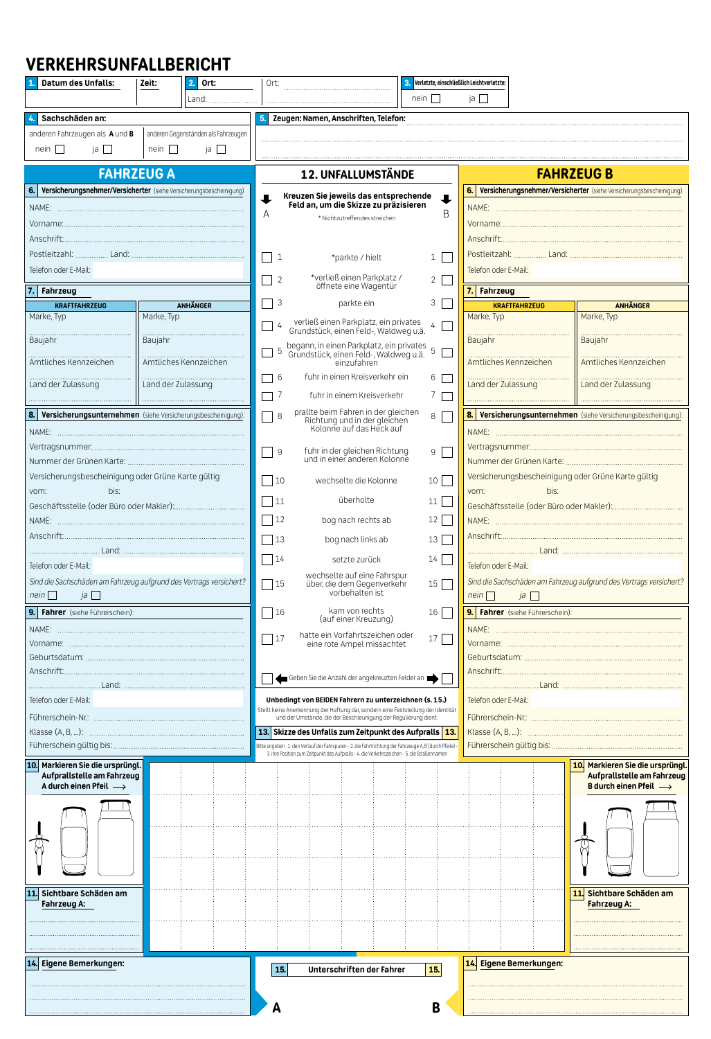## **VERKEHRSUNFALLBERICHT**

| Datum des Unfalls:                                                         | Zeit:              | $2.$ Ort:             | Ort:                                                                                                                                                 |                                                                                                  |                 | 3. Verletzte, einschließlich Leichtverletzte: |                                                                     |                                                                    |  |  |
|----------------------------------------------------------------------------|--------------------|-----------------------|------------------------------------------------------------------------------------------------------------------------------------------------------|--------------------------------------------------------------------------------------------------|-----------------|-----------------------------------------------|---------------------------------------------------------------------|--------------------------------------------------------------------|--|--|
|                                                                            |                    | Land:                 |                                                                                                                                                      |                                                                                                  | nein            | ja                                            |                                                                     |                                                                    |  |  |
| Sachschäden an:                                                            |                    |                       | 5.<br>Zeugen: Namen, Anschriften, Telefon:                                                                                                           |                                                                                                  |                 |                                               |                                                                     |                                                                    |  |  |
| anderen Fahrzeugen als A und B<br>anderen Gegenständen als Fahrzeugen      |                    |                       |                                                                                                                                                      |                                                                                                  |                 |                                               |                                                                     |                                                                    |  |  |
| nein $\Box$<br>ja <b>I</b>                                                 | $nein \Box$        | $ia \Box$             |                                                                                                                                                      |                                                                                                  |                 |                                               |                                                                     |                                                                    |  |  |
|                                                                            |                    |                       |                                                                                                                                                      |                                                                                                  |                 |                                               |                                                                     |                                                                    |  |  |
| <b>FAHRZEUG A</b>                                                          |                    |                       | <b>12. UNFALLUMSTÄNDE</b>                                                                                                                            |                                                                                                  |                 | <b>FAHRZEUG B</b>                             |                                                                     |                                                                    |  |  |
| Versicherungsnehmer/Versicherter (siehe Versicherungsbescheinigung)<br>6.  |                    |                       |                                                                                                                                                      |                                                                                                  |                 | 6.                                            | Versicherungsnehmer/Versicherter (siehe Versicherungsbescheinigung) |                                                                    |  |  |
|                                                                            |                    |                       | Kreuzen Sie jeweils das entsprechende<br>Feld an, um die Skizze zu präzisieren<br>B<br>A<br>* Nichtzutreffendes streichen                            |                                                                                                  |                 |                                               |                                                                     |                                                                    |  |  |
|                                                                            |                    |                       |                                                                                                                                                      |                                                                                                  |                 |                                               |                                                                     |                                                                    |  |  |
|                                                                            |                    |                       |                                                                                                                                                      |                                                                                                  |                 |                                               |                                                                     |                                                                    |  |  |
|                                                                            |                    |                       |                                                                                                                                                      |                                                                                                  |                 |                                               |                                                                     |                                                                    |  |  |
|                                                                            |                    |                       | $\blacksquare$<br>$\mathbf{1}$<br>$1 \mid$<br>*parkte / hielt                                                                                        |                                                                                                  |                 |                                               |                                                                     |                                                                    |  |  |
| Telefon oder E-Mail:                                                       |                    |                       | *verließ einen Parkplatz /<br>$\overline{1}$<br>$\overline{2}$<br>2 <sup>1</sup>                                                                     |                                                                                                  |                 |                                               | Telefon oder E-Mail:                                                |                                                                    |  |  |
| 7. Fahrzeug                                                                |                    |                       | öffnete eine Wagentür                                                                                                                                |                                                                                                  |                 |                                               | 7. Fahrzeug                                                         |                                                                    |  |  |
| <b>KRAFTFAHRZEUG</b>                                                       |                    | <b>ANHÄNGER</b>       | 3                                                                                                                                                    | parkte ein                                                                                       | 3               |                                               | <b>KRAFTFAHRZEUG</b>                                                | <b>ANHÄNGER</b>                                                    |  |  |
| Marke, Typ                                                                 | Marke. Tvp         |                       | $\frac{1}{4}$<br>$\overline{\phantom{a}}$                                                                                                            | verließ einen Parkplatz, ein privates<br>Grundstück, einen Feld-, Waldweg u.ä.                   | 4 <sup>1</sup>  | Marke, Typ                                    |                                                                     | Marke, Typ                                                         |  |  |
| Baujahr                                                                    |                    |                       |                                                                                                                                                      |                                                                                                  |                 | <b>Baujahr</b>                                |                                                                     | <b>Baujahr</b><br>Baujahr                                          |  |  |
|                                                                            |                    |                       | $\Box$ 5                                                                                                                                             | begann, in einen Parkplatz, ein privates<br>Grundstück, einen Feld-, Waldweg u.ä.<br>einzufahren | 5               |                                               |                                                                     |                                                                    |  |  |
| Amtliches Kennzeichen                                                      |                    | Amtliches Kennzeichen |                                                                                                                                                      |                                                                                                  |                 |                                               | Amtliches Kennzeichen                                               | Amtliches Kennzeichen                                              |  |  |
| Land der Zulassung                                                         | Land der Zulassung |                       | $\Box$ 6                                                                                                                                             | fuhr in einen Kreisverkehr ein                                                                   | 6               |                                               | Land der Zulassung                                                  | Land der Zulassung                                                 |  |  |
|                                                                            |                    |                       | -7<br>$\mathbf{I}$                                                                                                                                   | fuhr in einem Kreisverkehr                                                                       | 7               |                                               |                                                                     |                                                                    |  |  |
| 8. Versicherungsunternehmen (siehe Versicherungsbescheinigung):            |                    |                       |                                                                                                                                                      |                                                                                                  |                 |                                               |                                                                     |                                                                    |  |  |
|                                                                            |                    |                       | $\bigcap$ 8                                                                                                                                          | prallte beim Fahren in der gleichen<br>Richtung und in der gleichen<br>Kolonne auf das Heck auf  | 8               |                                               | 8. Versicherungsunternehmen (siehe Versicherungsbescheinigung):     |                                                                    |  |  |
|                                                                            |                    |                       |                                                                                                                                                      |                                                                                                  |                 |                                               |                                                                     |                                                                    |  |  |
|                                                                            |                    |                       | fuhr in der gleichen Richtung<br>$\sim$<br>$\overline{9}$<br>9<br>und in einer anderen Kolonne                                                       |                                                                                                  |                 |                                               |                                                                     |                                                                    |  |  |
|                                                                            |                    |                       |                                                                                                                                                      |                                                                                                  |                 |                                               |                                                                     |                                                                    |  |  |
| Versicherungsbescheinigung oder Grüne Karte gültig                         |                    |                       | $\vert$ 10                                                                                                                                           | wechselte die Kolonne                                                                            | 10 <sup>1</sup> |                                               | Versicherungsbescheinigung oder Grüne Karte gültig                  |                                                                    |  |  |
| bis:<br>vom:                                                               |                    |                       | $\Box$ 11                                                                                                                                            | überholte                                                                                        | 11              | vom:                                          | bis:                                                                |                                                                    |  |  |
|                                                                            |                    |                       | 12                                                                                                                                                   |                                                                                                  | 12              |                                               |                                                                     |                                                                    |  |  |
|                                                                            |                    |                       |                                                                                                                                                      | bog nach rechts ab                                                                               |                 |                                               |                                                                     |                                                                    |  |  |
|                                                                            |                    |                       | $\vert$ 13                                                                                                                                           | bog nach links ab                                                                                | 13              |                                               |                                                                     |                                                                    |  |  |
|                                                                            |                    |                       | $\sqrt{14}$                                                                                                                                          | setzte zurück                                                                                    | 14              | Telefon oder F-Mail:                          |                                                                     |                                                                    |  |  |
| Telefon oder E-Mail:                                                       |                    |                       | wechselte auf eine Fahrspur                                                                                                                          |                                                                                                  |                 |                                               |                                                                     |                                                                    |  |  |
| Sind die Sachschäden am Fahrzeug aufgrund des Vertrags versichert?<br>nein |                    |                       | $\vert$ 15                                                                                                                                           | über, die dem Gegenverkehr<br>vorbehalten ist                                                    | 15              | $nein$                                        | $ja \mid \cdot$                                                     | Sind die Sachschäden am Fahrzeug aufgrund des Vertrags versichert? |  |  |
| a                                                                          |                    |                       |                                                                                                                                                      | kam von rechts                                                                                   |                 |                                               |                                                                     |                                                                    |  |  |
| 9. Fahrer (siehe Führerschein):                                            |                    |                       | 16                                                                                                                                                   | (auf einer Kreuzung)                                                                             | 16              |                                               | 9. Fahrer (siehe Führerschein):                                     |                                                                    |  |  |
| NAME:                                                                      |                    |                       | 17                                                                                                                                                   | hatte ein Vorfahrtszeichen oder                                                                  | 17              | NAME:                                         |                                                                     |                                                                    |  |  |
|                                                                            |                    |                       |                                                                                                                                                      | eine rote Ampel missachtet                                                                       |                 |                                               |                                                                     |                                                                    |  |  |
|                                                                            |                    |                       |                                                                                                                                                      |                                                                                                  |                 |                                               |                                                                     |                                                                    |  |  |
|                                                                            |                    |                       | Geben Sie die Anzahl der angekreuzten Felder an                                                                                                      |                                                                                                  |                 |                                               |                                                                     |                                                                    |  |  |
| Telefon oder E-Mail:                                                       |                    |                       | Unbedingt von BEIDEN Fahrern zu unterzeichnen (s. 15.)                                                                                               |                                                                                                  |                 | Telefon oder E-Mail:                          |                                                                     |                                                                    |  |  |
|                                                                            |                    |                       | Stellt keine Anerkennung der Haftung dar, sondern eine Feststellung der Identität<br>und der Umstände, die der Beschleunigung der Regulierung dient. |                                                                                                  |                 |                                               |                                                                     |                                                                    |  |  |
|                                                                            |                    |                       | 13. Skizze des Unfalls zum Zeitpunkt des Aufpralls 13.                                                                                               |                                                                                                  |                 |                                               |                                                                     |                                                                    |  |  |
|                                                                            |                    |                       | Bitte angeben: 1. den Verlauf der Fahrspuren - 2. die Fahrtrichtung der Fahrzeuge A, B (durch Pfeile) -                                              |                                                                                                  |                 |                                               |                                                                     |                                                                    |  |  |
|                                                                            |                    |                       |                                                                                                                                                      | 3. ihre Position zum Zeitpunkt des Aufpralls - 4. die Verkehrszeichen - 5. die Straßennamen      |                 |                                               |                                                                     |                                                                    |  |  |
| 10. Markieren Sie die ursprüngl.<br>Aufprallstelle am Fahrzeug             |                    |                       |                                                                                                                                                      |                                                                                                  |                 |                                               |                                                                     | 10. Markieren Sie die ursprüngl.<br>Aufpralistelle am Fahrzeug     |  |  |
| A durch einen Pfeil $\longrightarrow$                                      |                    |                       |                                                                                                                                                      |                                                                                                  |                 |                                               |                                                                     | <b>B</b> durch einen Pfeil $\rightarrow$                           |  |  |
|                                                                            |                    |                       |                                                                                                                                                      |                                                                                                  |                 |                                               |                                                                     |                                                                    |  |  |
|                                                                            |                    |                       |                                                                                                                                                      |                                                                                                  |                 |                                               |                                                                     |                                                                    |  |  |
|                                                                            |                    |                       |                                                                                                                                                      |                                                                                                  |                 |                                               |                                                                     |                                                                    |  |  |
|                                                                            |                    |                       |                                                                                                                                                      |                                                                                                  |                 |                                               |                                                                     |                                                                    |  |  |
|                                                                            |                    |                       |                                                                                                                                                      |                                                                                                  |                 |                                               |                                                                     |                                                                    |  |  |
|                                                                            |                    |                       |                                                                                                                                                      |                                                                                                  |                 |                                               |                                                                     |                                                                    |  |  |
| Sichtbare Schäden am                                                       |                    |                       |                                                                                                                                                      |                                                                                                  |                 |                                               |                                                                     | 11<br>Sichtbare Schäden am                                         |  |  |
| Fahrzeug A:                                                                |                    |                       |                                                                                                                                                      |                                                                                                  |                 |                                               |                                                                     | <b>Fahrzeug A:</b>                                                 |  |  |
|                                                                            |                    |                       |                                                                                                                                                      |                                                                                                  |                 |                                               |                                                                     |                                                                    |  |  |
|                                                                            |                    |                       |                                                                                                                                                      |                                                                                                  |                 |                                               |                                                                     |                                                                    |  |  |
|                                                                            |                    |                       |                                                                                                                                                      |                                                                                                  |                 |                                               |                                                                     |                                                                    |  |  |
| 14. Eigene Bemerkungen:                                                    |                    |                       | 15.                                                                                                                                                  | Unterschriften der Fahrer                                                                        | 15.             |                                               | 14. Eigene Bemerkungen:                                             |                                                                    |  |  |
|                                                                            |                    |                       |                                                                                                                                                      |                                                                                                  |                 |                                               |                                                                     |                                                                    |  |  |
|                                                                            |                    |                       | A                                                                                                                                                    |                                                                                                  | B               |                                               |                                                                     |                                                                    |  |  |
|                                                                            |                    |                       |                                                                                                                                                      |                                                                                                  |                 |                                               |                                                                     |                                                                    |  |  |